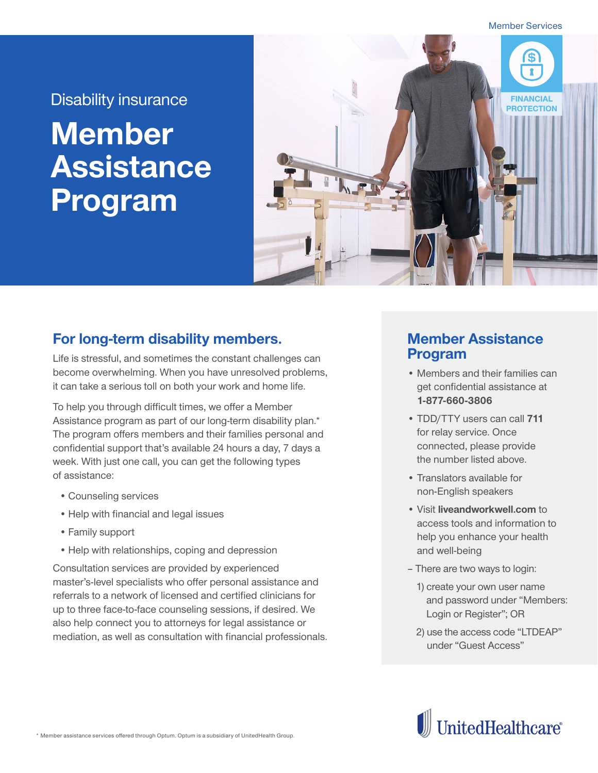Member Services

## **Member Assistance Program**



## **For long-term disability members.**

Life is stressful, and sometimes the constant challenges can become overwhelming. When you have unresolved problems, it can take a serious toll on both your work and home life.

To help you through difficult times, we offer a Member Assistance program as part of our long-term disability plan.\* The program offers members and their families personal and confidential support that's available 24 hours a day, 7 days a week. With just one call, you can get the following types of assistance:

- •Counseling services
- Help with financial and legal issues
- •Family support
- •Help with relationships, coping and depression

Consultation services are provided by experienced master's-level specialists who offer personal assistance and referrals to a network of licensed and certified clinicians for up to three face-to-face counseling sessions, if desired. We also help connect you to attorneys for legal assistance or mediation, as well as consultation with financial professionals.

## **Member Assistance Program**

- Members and their families can get confidential assistance at **1-877-660-3806**
- TDD/TTY users can call **711** for relay service. Once connected, please provide the number listed above.
- Translators available for non-English speakers
- Visit **liveandworkwell.com** to access tools and information to help you enhance your health and well-being
- There are two ways to login:
	- 1) create your own user name and password under "Members: Login or Register"; OR
	- 2) use the access code "LTDEAP" under "Guest Access"